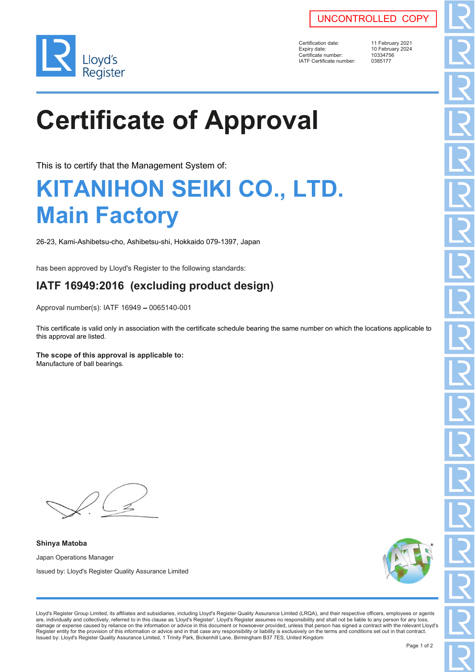



Certification date: 11 February 2021<br>Expiry date: 10 February 2024 Certificate number: 1033475<br>
IATF Certificate number: 0385177 IATF Certificate number:

10 February 2024<br>10334756

# **Certificate of Approval**

This is to certify that the Management System of:

### **KITANIHON SEIKI CO., LTD. Main Factory**

26-23, Kami-Ashibetsu-cho, Ashibetsu-shi, Hokkaido 079-1397, Japan

has been approved by Lloyd's Register to the following standards:

#### **IATF 16949:2016 (excluding product design)**

Approval number(s): IATF 16949 - 0065140-001

This certificate is valid only in association with the certificate schedule bearing the same number on which the locations applicable to this approval are listed.

#### **The scope of this approval is applicable to:**

Manufacture of ball bearings.

**Shinya Matoba** Japan Operations Manager Issued by: Lloyd's Register Quality Assurance Limited



Lloyd's Register Group Limited, its affiliates and subsidiaries, including Lloyd's Register Quality Assurance Limited (LRQA), and their respective officers, employees or agents are, individually and collectively, referred to in this clause as 'Lloyd's Register'. Lloyd's Register assumes no responsibility and shall not be liable to any person for any loss,<br>damage or expense caused by reliance on t Register entity for the provision of this information or advice and in that case any responsibility or liability is exclusively on the terms and conditions set out in that contract. Issued by: Lloyd's Register Quality Assurance Limited, 1 Trinity Park, Bickenhill Lane, Birmingham B37 7ES, United Kingdom